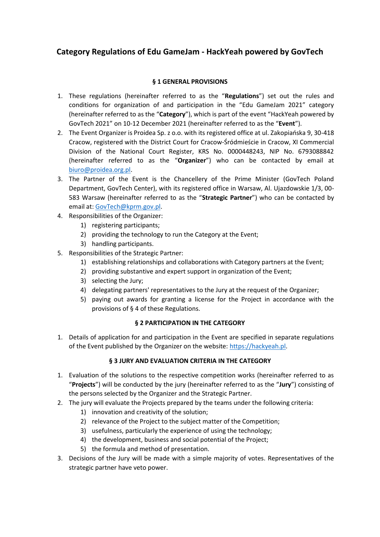# **Category Regulations of Edu GameJam - HackYeah powered by GovTech**

## **§ 1 GENERAL PROVISIONS**

- 1. These regulations (hereinafter referred to as the "**Regulations**") set out the rules and conditions for organization of and participation in the "Edu GameJam 2021" category (hereinafter referred to as the "**Category**"), which is part of the event "HackYeah powered by GovTech 2021" on 10-12 December 2021 (hereinafter referred to as the "**Event**").
- 2. The Event Organizer is Proidea Sp. z o.o. with its registered office at ul. Zakopiańska 9, 30-418 Cracow, registered with the District Court for Cracow-Śródmieście in Cracow, XI Commercial Division of the National Court Register, KRS No. 0000448243, NIP No. 6793088842 (hereinafter referred to as the "**Organizer**") who can be contacted by email at [biuro@proidea.org.pl.](mailto:biuro@proidea.org.pl)
- 3. The Partner of the Event is the Chancellery of the Prime Minister (GovTech Poland Department, GovTech Center), with its registered office in Warsaw, Al. Ujazdowskie 1/3, 00- 583 Warsaw (hereinafter referred to as the "**Strategic Partner**") who can be contacted by email at[: GovTech@kprm.gov.pl.](mailto:GovTech@kprm.gov.pl)
- 4. Responsibilities of the Organizer:
	- 1) registering participants;
	- 2) providing the technology to run the Category at the Event;
	- 3) handling participants.
- 5. Responsibilities of the Strategic Partner:
	- 1) establishing relationships and collaborations with Category partners at the Event;
	- 2) providing substantive and expert support in organization of the Event;
	- 3) selecting the Jury;
	- 4) delegating partners' representatives to the Jury at the request of the Organizer;
	- 5) paying out awards for granting a license for the Project in accordance with the provisions of § 4 of these Regulations.

## **§ 2 PARTICIPATION IN THE CATEGORY**

1. Details of application for and participation in the Event are specified in separate regulations of the Event published by the Organizer on the website[: https://hackyeah.pl.](https://hackyeah.pl/)

## **§ 3 JURY AND EVALUATION CRITERIA IN THE CATEGORY**

- 1. Evaluation of the solutions to the respective competition works (hereinafter referred to as "**Projects**") will be conducted by the jury (hereinafter referred to as the "**Jury**") consisting of the persons selected by the Organizer and the Strategic Partner.
- 2. The jury will evaluate the Projects prepared by the teams under the following criteria:
	- 1) innovation and creativity of the solution;
	- 2) relevance of the Project to the subject matter of the Competition;
	- 3) usefulness, particularly the experience of using the technology;
	- 4) the development, business and social potential of the Project;
	- 5) the formula and method of presentation.
- 3. Decisions of the Jury will be made with a simple majority of votes. Representatives of the strategic partner have veto power.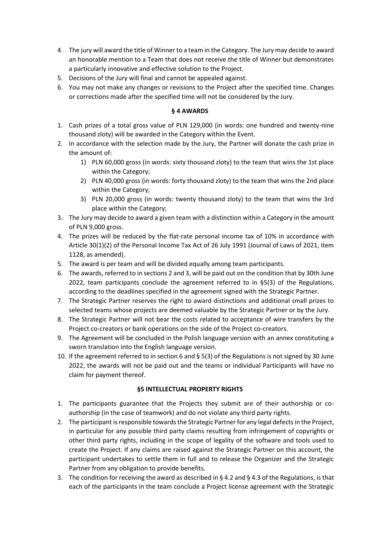- 4. The jury will award the title of Winner to a team in the Category. The Jury may decide to award an honorable mention to a Team that does not receive the title of Winner but demonstrates a particularly innovative and effective solution to the Project.
- 5. Decisions of the Jury will final and cannot be appealed against.
- 6. You may not make any changes or revisions to the Project after the specified time. Changes or corrections made after the specified time will not be considered by the Jury.

## **§ 4 AWARDS**

- 1. Cash prizes of a total gross value of PLN 129,000 (in words: one hundred and twenty-nine thousand zloty) will be awarded in the Category within the Event.
- 2. In accordance with the selection made by the Jury, the Partner will donate the cash prize in the amount of:
	- 1) PLN 60,000 gross (in words: sixty thousand zloty) to the team that wins the 1st place within the Category;
	- 2) PLN 40,000 gross (in words: forty thousand zloty) to the team that wins the 2nd place within the Category;
	- 3) PLN 20,000 gross (in words: twenty thousand zloty) to the team that wins the 3rd place within the Category;
- 3. The Jury may decide to award a given team with a distinction within a Category in the amount of PLN 9,000 gross.
- 4. The prizes will be reduced by the flat-rate personal income tax of 10% in accordance with Article 30(1)(2) of the Personal Income Tax Act of 26 July 1991 (Journal of Laws of 2021, item 1128, as amended).
- 5. The award is per team and will be divided equally among team participants.
- 6. The awards, referred to in sections 2 and 3, will be paid out on the condition that by 30th June 2022, team participants conclude the agreement referred to in §5(3) of the Regulations, according to the deadlines specified in the agreement signed with the Strategic Partner.
- 7. The Strategic Partner reserves the right to award distinctions and additional small prizes to selected teams whose projects are deemed valuable by the Strategic Partner or by the Jury.
- 8. The Strategic Partner will not bear the costs related to acceptance of wire transfers by the Project co-creators or bank operations on the side of the Project co-creators.
- 9. The Agreement will be concluded in the Polish language version with an annex constituting a sworn translation into the English language version.
- 10. If the agreement referred to in section 6 and § 5(3) of the Regulations is not signed by 30 June 2022, the awards will not be paid out and the teams or individual Participants will have no claim for payment thereof.

## **§5 INTELLECTUAL PROPERTY RIGHTS**

- 1. The participants guarantee that the Projects they submit are of their authorship or coauthorship (in the case of teamwork) and do not violate any third party rights.
- 2. The participant is responsible towards the Strategic Partner for any legal defects in the Project, in particular for any possible third party claims resulting from infringement of copyrights or other third party rights, including in the scope of legality of the software and tools used to create the Project. If any claims are raised against the Strategic Partner on this account, the participant undertakes to settle them in full and to release the Organizer and the Strategic Partner from any obligation to provide benefits.
- 3. The condition for receiving the award as described in § 4.2 and § 4.3 of the Regulations, is that each of the participants in the team conclude a Project license agreement with the Strategic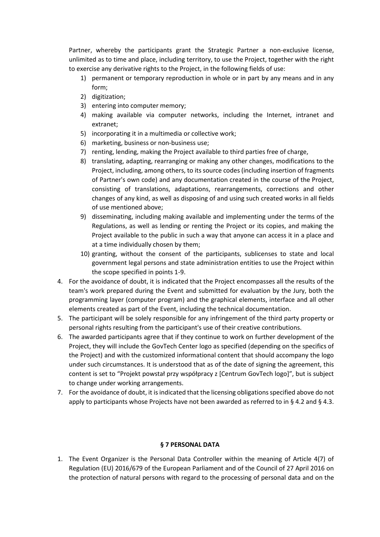Partner, whereby the participants grant the Strategic Partner a non-exclusive license, unlimited as to time and place, including territory, to use the Project, together with the right to exercise any derivative rights to the Project, in the following fields of use:

- 1) permanent or temporary reproduction in whole or in part by any means and in any form;
- 2) digitization;
- 3) entering into computer memory;
- 4) making available via computer networks, including the Internet, intranet and extranet;
- 5) incorporating it in a multimedia or collective work;
- 6) marketing, business or non-business use;
- 7) renting, lending, making the Project available to third parties free of charge,
- 8) translating, adapting, rearranging or making any other changes, modifications to the Project, including, among others, to its source codes (including insertion of fragments of Partner's own code) and any documentation created in the course of the Project, consisting of translations, adaptations, rearrangements, corrections and other changes of any kind, as well as disposing of and using such created works in all fields of use mentioned above;
- 9) disseminating, including making available and implementing under the terms of the Regulations, as well as lending or renting the Project or its copies, and making the Project available to the public in such a way that anyone can access it in a place and at a time individually chosen by them;
- 10) granting, without the consent of the participants, sublicenses to state and local government legal persons and state administration entities to use the Project within the scope specified in points 1-9.
- 4. For the avoidance of doubt, it is indicated that the Project encompasses all the results of the team's work prepared during the Event and submitted for evaluation by the Jury, both the programming layer (computer program) and the graphical elements, interface and all other elements created as part of the Event, including the technical documentation.
- 5. The participant will be solely responsible for any infringement of the third party property or personal rights resulting from the participant's use of their creative contributions.
- 6. The awarded participants agree that if they continue to work on further development of the Project, they will include the GovTech Center logo as specified (depending on the specifics of the Project) and with the customized informational content that should accompany the logo under such circumstances. It is understood that as of the date of signing the agreement, this content is set to "Projekt powstał przy współpracy z [Centrum GovTech logo]", but is subject to change under working arrangements.
- 7. For the avoidance of doubt, it is indicated that the licensing obligations specified above do not apply to participants whose Projects have not been awarded as referred to in § 4.2 and § 4.3.

## **§ 7 PERSONAL DATA**

1. The Event Organizer is the Personal Data Controller within the meaning of Article 4(7) of Regulation (EU) 2016/679 of the European Parliament and of the Council of 27 April 2016 on the protection of natural persons with regard to the processing of personal data and on the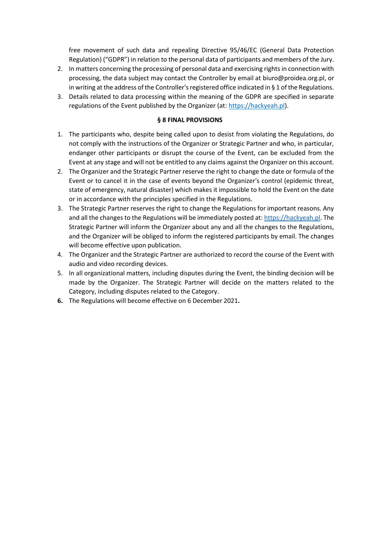free movement of such data and repealing Directive 95/46/EC (General Data Protection Regulation) ("GDPR") in relation to the personal data of participants and members of the Jury.

- 2. In matters concerning the processing of personal data and exercising rights in connection with processing, the data subject may contact the Controller by email at biuro@proidea.org.pl, or in writing at the address of the Controller's registered office indicated in § 1 of the Regulations.
- 3. Details related to data processing within the meaning of the GDPR are specified in separate regulations of the Event published by the Organizer (at: [https://hackyeah.pl\)](https://hackyeah.pl/).

### **§ 8 FINAL PROVISIONS**

- 1. The participants who, despite being called upon to desist from violating the Regulations, do not comply with the instructions of the Organizer or Strategic Partner and who, in particular, endanger other participants or disrupt the course of the Event, can be excluded from the Event at any stage and will not be entitled to any claims against the Organizer on this account.
- 2. The Organizer and the Strategic Partner reserve the right to change the date or formula of the Event or to cancel it in the case of events beyond the Organizer's control (epidemic threat, state of emergency, natural disaster) which makes it impossible to hold the Event on the date or in accordance with the principles specified in the Regulations.
- 3. The Strategic Partner reserves the right to change the Regulations for important reasons. Any and all the changes to the Regulations will be immediately posted at: [https://hackyeah.pl.](https://hackyeah.pl/) The Strategic Partner will inform the Organizer about any and all the changes to the Regulations, and the Organizer will be obliged to inform the registered participants by email. The changes will become effective upon publication.
- 4. The Organizer and the Strategic Partner are authorized to record the course of the Event with audio and video recording devices.
- 5. In all organizational matters, including disputes during the Event, the binding decision will be made by the Organizer. The Strategic Partner will decide on the matters related to the Category, including disputes related to the Category.
- **6.** The Regulations will become effective on 6 December 2021**.**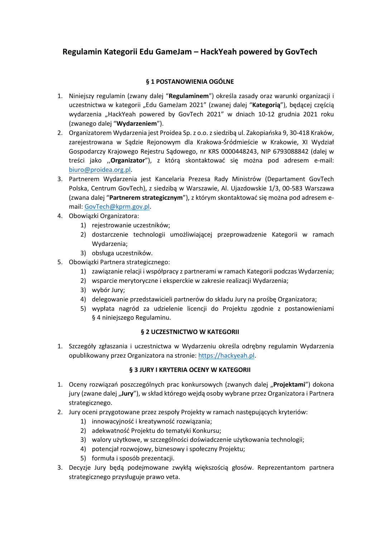# **Regulamin Kategorii Edu GameJam – HackYeah powered by GovTech**

# **§ 1 POSTANOWIENIA OGÓLNE**

- 1. Niniejszy regulamin (zwany dalej "**Regulaminem**") określa zasady oraz warunki organizacji i uczestnictwa w kategorii "Edu GameJam 2021" (zwanej dalej "**Kategorią**"), będącej częścią wydarzenia "HackYeah powered by GovTech 2021" w dniach 10-12 grudnia 2021 roku (zwanego dalej "**Wydarzeniem**").
- 2. Organizatorem Wydarzenia jest Proidea Sp. z o.o. z siedzibą ul. Zakopiańska 9, 30-418 Kraków, zarejestrowana w Sądzie Rejonowym dla Krakowa-Śródmieście w Krakowie, XI Wydział Gospodarczy Krajowego Rejestru Sądowego, nr KRS 0000448243, NIP 6793088842 (dalej w treści jako ,,**Organizator**"), z którą skontaktować się można pod adresem e-mail: [biuro@proidea.org.pl.](mailto:biuro@proidea.org.pl)
- 3. Partnerem Wydarzenia jest Kancelaria Prezesa Rady Ministrów (Departament GovTech Polska, Centrum GovTech), z siedzibą w Warszawie, Al. Ujazdowskie 1/3, 00-583 Warszawa (zwana dalej "**Partnerem strategicznym**"), z którym skontaktować się można pod adresem email: [GovTech@kprm.gov.pl.](mailto:GovTech@kprm.gov.pl)
- 4. Obowiązki Organizatora:
	- 1) rejestrowanie uczestników;
	- 2) dostarczenie technologii umożliwiającej przeprowadzenie Kategorii w ramach Wydarzenia;
	- 3) obsługa uczestników.
- 5. Obowiązki Partnera strategicznego:
	- 1) zawiązanie relacji i współpracy z partnerami w ramach Kategorii podczas Wydarzenia;
	- 2) wsparcie merytoryczne i eksperckie w zakresie realizacji Wydarzenia;
	- 3) wybór Jury;
	- 4) delegowanie przedstawicieli partnerów do składu Jury na prośbę Organizatora;
	- 5) wypłata nagród za udzielenie licencji do Projektu zgodnie z postanowieniami § 4 niniejszego Regulaminu.

## **§ 2 UCZESTNICTWO W KATEGORII**

1. Szczegóły zgłaszania i uczestnictwa w Wydarzeniu określa odrębny regulamin Wydarzenia opublikowany przez Organizatora na stronie: [https://hackyeah.pl.](https://hackyeah.pl/)

## **§ 3 JURY I KRYTERIA OCENY W KATEGORII**

- 1. Oceny rozwiązań poszczególnych prac konkursowych (zwanych dalej "**Projektami**") dokona jury (zwane dalej "Jury"), w skład którego wejdą osoby wybrane przez Organizatora i Partnera strategicznego.
- 2. Jury oceni przygotowane przez zespoły Projekty w ramach następujących kryteriów:
	- 1) innowacyjność i kreatywność rozwiązania;
	- 2) adekwatność Projektu do tematyki Konkursu;
	- 3) walory użytkowe, w szczególności doświadczenie użytkowania technologii;
	- 4) potencjał rozwojowy, biznesowy i społeczny Projektu;
	- 5) formuła i sposób prezentacji.
- 3. Decyzje Jury będą podejmowane zwykłą większością głosów. Reprezentantom partnera strategicznego przysługuje prawo veta.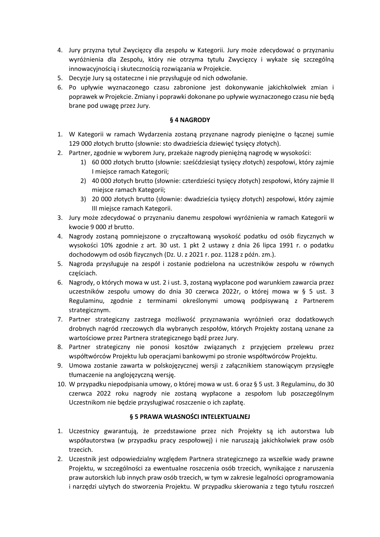- 4. Jury przyzna tytuł Zwycięzcy dla zespołu w Kategorii. Jury może zdecydować o przyznaniu wyróżnienia dla Zespołu, który nie otrzyma tytułu Zwycięzcy i wykaże się szczególną innowacyjnością i skutecznością rozwiązania w Projekcie.
- 5. Decyzje Jury są ostateczne i nie przysługuje od nich odwołanie.
- 6. Po upływie wyznaczonego czasu zabronione jest dokonywanie jakichkolwiek zmian i poprawek w Projekcie. Zmiany i poprawki dokonane po upływie wyznaczonego czasu nie będą brane pod uwagę przez Jury.

## **§ 4 NAGRODY**

- 1. W Kategorii w ramach Wydarzenia zostaną przyznane nagrody pieniężne o łącznej sumie 129 000 złotych brutto (słownie: sto dwadzieścia dziewięć tysięcy złotych).
- 2. Partner, zgodnie w wyborem Jury, przekaże nagrody pieniężną nagrodę w wysokości:
	- 1) 60 000 złotych brutto (słownie: sześćdziesiąt tysięcy złotych) zespołowi, który zajmie I miejsce ramach Kategorii;
	- 2) 40 000 złotych brutto (słownie: czterdzieści tysięcy złotych) zespołowi, który zajmie II miejsce ramach Kategorii;
	- 3) 20 000 złotych brutto (słownie: dwadzieścia tysięcy złotych) zespołowi, który zajmie III miejsce ramach Kategorii.
- 3. Jury może zdecydować o przyznaniu danemu zespołowi wyróżnienia w ramach Kategorii w kwocie 9 000 zł brutto.
- 4. Nagrody zostaną pomniejszone o zryczałtowaną wysokość podatku od osób fizycznych w wysokości 10% zgodnie z art. 30 ust. 1 pkt 2 ustawy z dnia 26 lipca 1991 r. o podatku dochodowym od osób fizycznych (Dz. U. z 2021 r. poz. 1128 z późn. zm.).
- 5. Nagroda przysługuje na zespół i zostanie podzielona na uczestników zespołu w równych częściach.
- 6. Nagrody, o których mowa w ust. 2 i ust. 3, zostaną wypłacone pod warunkiem zawarcia przez uczestników zespołu umowy do dnia 30 czerwca 2022r, o której mowa w § 5 ust. 3 Regulaminu, zgodnie z terminami określonymi umową podpisywaną z Partnerem strategicznym.
- 7. Partner strategiczny zastrzega możliwość przyznawania wyróżnień oraz dodatkowych drobnych nagród rzeczowych dla wybranych zespołów, których Projekty zostaną uznane za wartościowe przez Partnera strategicznego bądź przez Jury.
- 8. Partner strategiczny nie ponosi kosztów związanych z przyjęciem przelewu przez współtwórców Projektu lub operacjami bankowymi po stronie współtwórców Projektu.
- 9. Umowa zostanie zawarta w polskojęzycznej wersji z załącznikiem stanowiącym przysięgłe tłumaczenie na anglojęzyczną wersję.
- 10. W przypadku niepodpisania umowy, o której mowa w ust. 6 oraz § 5 ust. 3 Regulaminu, do 30 czerwca 2022 roku nagrody nie zostaną wypłacone a zespołom lub poszczególnym Uczestnikom nie będzie przysługiwać roszczenie o ich zapłatę.

## **§ 5 PRAWA WŁASNOŚCI INTELEKTUALNEJ**

- 1. Uczestnicy gwarantują, że przedstawione przez nich Projekty są ich autorstwa lub współautorstwa (w przypadku pracy zespołowej) i nie naruszają jakichkolwiek praw osób trzecich.
- 2. Uczestnik jest odpowiedzialny względem Partnera strategicznego za wszelkie wady prawne Projektu, w szczególności za ewentualne roszczenia osób trzecich, wynikające z naruszenia praw autorskich lub innych praw osób trzecich, w tym w zakresie legalności oprogramowania i narzędzi użytych do stworzenia Projektu. W przypadku skierowania z tego tytułu roszczeń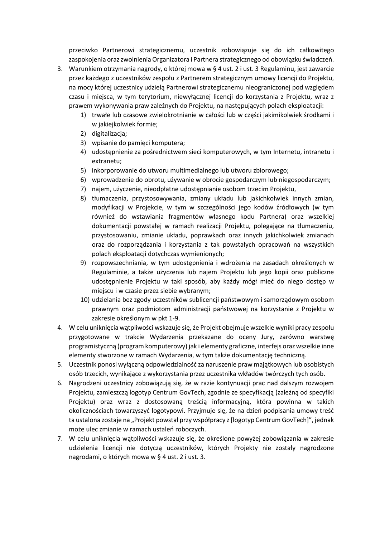przeciwko Partnerowi strategicznemu, uczestnik zobowiązuje się do ich całkowitego zaspokojenia oraz zwolnienia Organizatora i Partnera strategicznego od obowiązku świadczeń.

- 3. Warunkiem otrzymania nagrody, o której mowa w § 4 ust. 2 i ust. 3 Regulaminu, jest zawarcie przez każdego z uczestników zespołu z Partnerem strategicznym umowy licencji do Projektu, na mocy której uczestnicy udzielą Partnerowi strategicznemu nieograniczonej pod względem czasu i miejsca, w tym terytorium, niewyłącznej licencji do korzystania z Projektu, wraz z prawem wykonywania praw zależnych do Projektu, na następujących polach eksploatacji:
	- 1) trwałe lub czasowe zwielokrotnianie w całości lub w części jakimikolwiek środkami i w jakiejkolwiek formie;
	- 2) digitalizacja;
	- 3) wpisanie do pamięci komputera;
	- 4) udostępnienie za pośrednictwem sieci komputerowych, w tym Internetu, intranetu i extranetu;
	- 5) inkorporowanie do utworu multimedialnego lub utworu zbiorowego;
	- 6) wprowadzenie do obrotu, używanie w obrocie gospodarczym lub niegospodarczym;
	- 7) najem, użyczenie, nieodpłatne udostępnianie osobom trzecim Projektu,
	- 8) tłumaczenia, przystosowywania, zmiany układu lub jakichkolwiek innych zmian, modyfikacji w Projekcie, w tym w szczególności jego kodów źródłowych (w tym również do wstawiania fragmentów własnego kodu Partnera) oraz wszelkiej dokumentacji powstałej w ramach realizacji Projektu, polegające na tłumaczeniu, przystosowaniu, zmianie układu, poprawkach oraz innych jakichkolwiek zmianach oraz do rozporządzania i korzystania z tak powstałych opracowań na wszystkich polach eksploatacji dotychczas wymienionych;
	- 9) rozpowszechniania, w tym udostępnienia i wdrożenia na zasadach określonych w Regulaminie, a także użyczenia lub najem Projektu lub jego kopii oraz publiczne udostępnienie Projektu w taki sposób, aby każdy mógł mieć do niego dostęp w miejscu i w czasie przez siebie wybranym;
	- 10) udzielania bez zgody uczestników sublicencji państwowym i samorządowym osobom prawnym oraz podmiotom administracji państwowej na korzystanie z Projektu w zakresie określonym w pkt 1-9.
- 4. W celu uniknięcia wątpliwości wskazuje się, że Projekt obejmuje wszelkie wyniki pracy zespołu przygotowane w trakcie Wydarzenia przekazane do oceny Jury, zarówno warstwę programistyczną (program komputerowy) jak i elementy graficzne, interfejs oraz wszelkie inne elementy stworzone w ramach Wydarzenia, w tym także dokumentację techniczną.
- 5. Uczestnik ponosi wyłączną odpowiedzialność za naruszenie praw majątkowych lub osobistych osób trzecich, wynikające z wykorzystania przez uczestnika wkładów twórczych tych osób.
- 6. Nagrodzeni uczestnicy zobowiązują się, że w razie kontynuacji prac nad dalszym rozwojem Projektu, zamieszczą logotyp Centrum GovTech, zgodnie ze specyfikacją (zależną od specyfiki Projektu) oraz wraz z dostosowaną treścią informacyjną, która powinna w takich okolicznościach towarzyszyć logotypowi. Przyjmuje się, że na dzień podpisania umowy treść ta ustalona zostaje na "Projekt powstał przy współpracy z [logotyp Centrum GovTech]", jednak może ulec zmianie w ramach ustaleń roboczych.
- 7. W celu uniknięcia wątpliwości wskazuje się, że określone powyżej zobowiązania w zakresie udzielenia licencji nie dotyczą uczestników, których Projekty nie zostały nagrodzone nagrodami, o których mowa w § 4 ust. 2 i ust. 3.